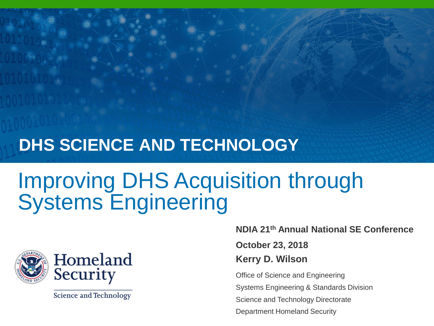#### **DHS SCIENCE AND TECHNOLOGY**

#### Improving DHS Acquisition through Systems Engineering



**Science and Technology** 

**NDIA 21th Annual National SE Conference**

**October 23, 2018**

**Kerry D. Wilson** 

Office of Science and Engineering

Systems Engineering & Standards Division

Science and Technology Directorate

Department Homeland Security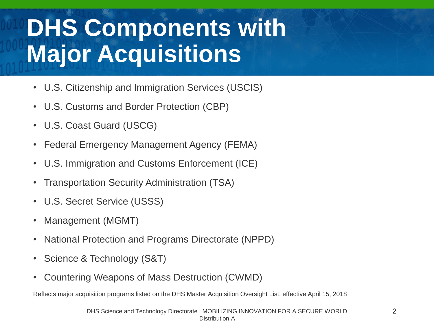# **DHS Components with Major Acquisitions**

- U.S. Citizenship and Immigration Services (USCIS)
- U.S. Customs and Border Protection (CBP)
- U.S. Coast Guard (USCG)
- Federal Emergency Management Agency (FEMA)
- U.S. Immigration and Customs Enforcement (ICE)
- Transportation Security Administration (TSA)
- U.S. Secret Service (USSS)
- Management (MGMT)
- National Protection and Programs Directorate (NPPD)
- Science & Technology (S&T)
- Countering Weapons of Mass Destruction (CWMD)

Reflects major acquisition programs listed on the DHS Master Acquisition Oversight List, effective April 15, 2018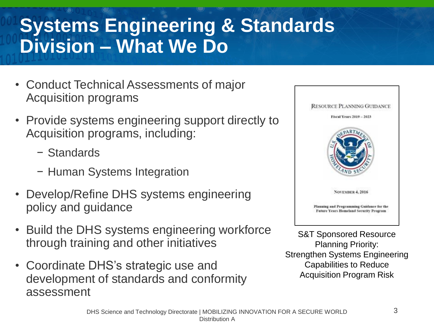#### **Systems Engineering & Standards Division – What We Do**

- Conduct Technical Assessments of major Acquisition programs
- Provide systems engineering support directly to Acquisition programs, including:
	- − Standards
	- − Human Systems Integration
- Develop/Refine DHS systems engineering policy and guidance
- Build the DHS systems engineering workforce through training and other initiatives
- Coordinate DHS's strategic use and development of standards and conformity assessment



S&T Sponsored Resource Planning Priority: Strengthen Systems Engineering Capabilities to Reduce Acquisition Program Risk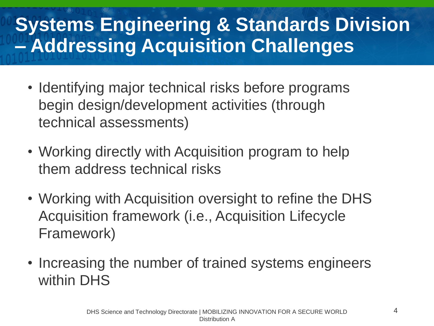#### **Systems Engineering & Standards Division – Addressing Acquisition Challenges**

- Identifying major technical risks before programs begin design/development activities (through technical assessments)
- Working directly with Acquisition program to help them address technical risks
- Working with Acquisition oversight to refine the DHS Acquisition framework (i.e., Acquisition Lifecycle Framework)
- Increasing the number of trained systems engineers within DHS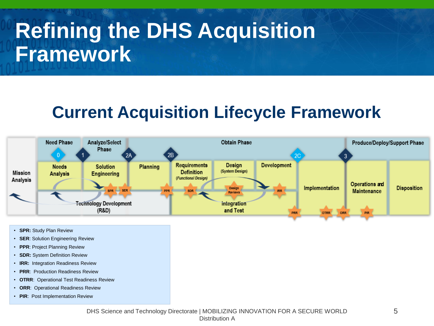## **Refining the DHS Acquisition Framework**

#### **Current Acquisition Lifecycle Framework**



- **SPR: Study Plan Review**
- **SER**: Solution Engineering Review
- **PPR**: Project Planning Review
- **SDR:** System Definition Review
- **IRR:** Integration Readiness Review
- **PRR**: Production Readiness Review
- **OTRR**: Operational Test Readiness Review
- **ORR**: Operational Readiness Review
- **PIR**: Post Implementation Review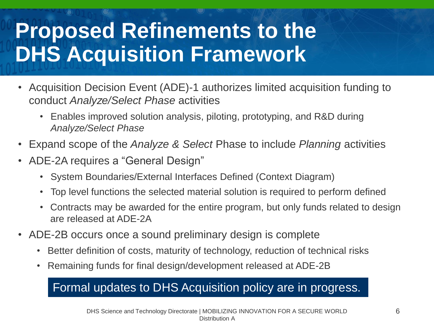## **Proposed Refinements to the DHS Acquisition Framework**

- Acquisition Decision Event (ADE)-1 authorizes limited acquisition funding to conduct *Analyze/Select Phase* activities
	- Enables improved solution analysis, piloting, prototyping, and R&D during *Analyze/Select Phase*
- Expand scope of the *Analyze & Select* Phase to include *Planning* activities
- ADE-2A requires a "General Design"
	- System Boundaries/External Interfaces Defined (Context Diagram)
	- Top level functions the selected material solution is required to perform defined
	- Contracts may be awarded for the entire program, but only funds related to design are released at ADE-2A
- ADE-2B occurs once a sound preliminary design is complete
	- Better definition of costs, maturity of technology, reduction of technical risks
	- Remaining funds for final design/development released at ADE-2B

#### Formal updates to DHS Acquisition policy are in progress.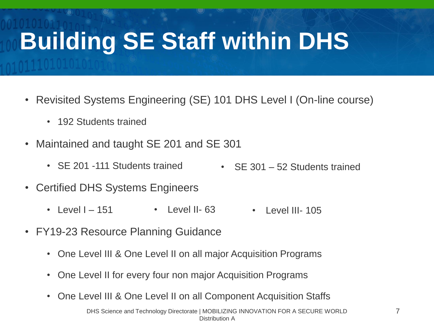# **Building SE Staff within DHS**

- Revisited Systems Engineering (SE) 101 DHS Level I (On-line course)
	- 192 Students trained
- Maintained and taught SE 201 and SE 301
	- SE 201 -111 Students trained • SE 301 – 52 Students trained
- Certified DHS Systems Engineers
	- Level  $I 151$ • Level II- 63 • Level III- 105
- FY19-23 Resource Planning Guidance
	- One Level III & One Level II on all major Acquisition Programs
	- One Level II for every four non major Acquisition Programs
	- One Level III & One Level II on all Component Acquisition Staffs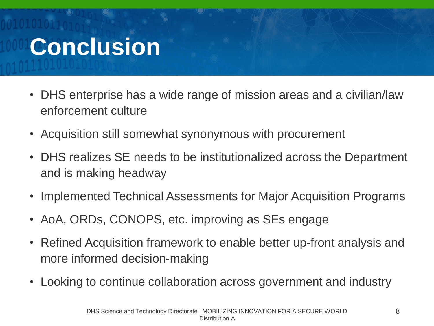# **Conclusion**

- DHS enterprise has a wide range of mission areas and a civilian/law enforcement culture
- Acquisition still somewhat synonymous with procurement
- DHS realizes SE needs to be institutionalized across the Department and is making headway
- Implemented Technical Assessments for Major Acquisition Programs
- AoA, ORDs, CONOPS, etc. improving as SEs engage
- Refined Acquisition framework to enable better up-front analysis and more informed decision-making
- Looking to continue collaboration across government and industry